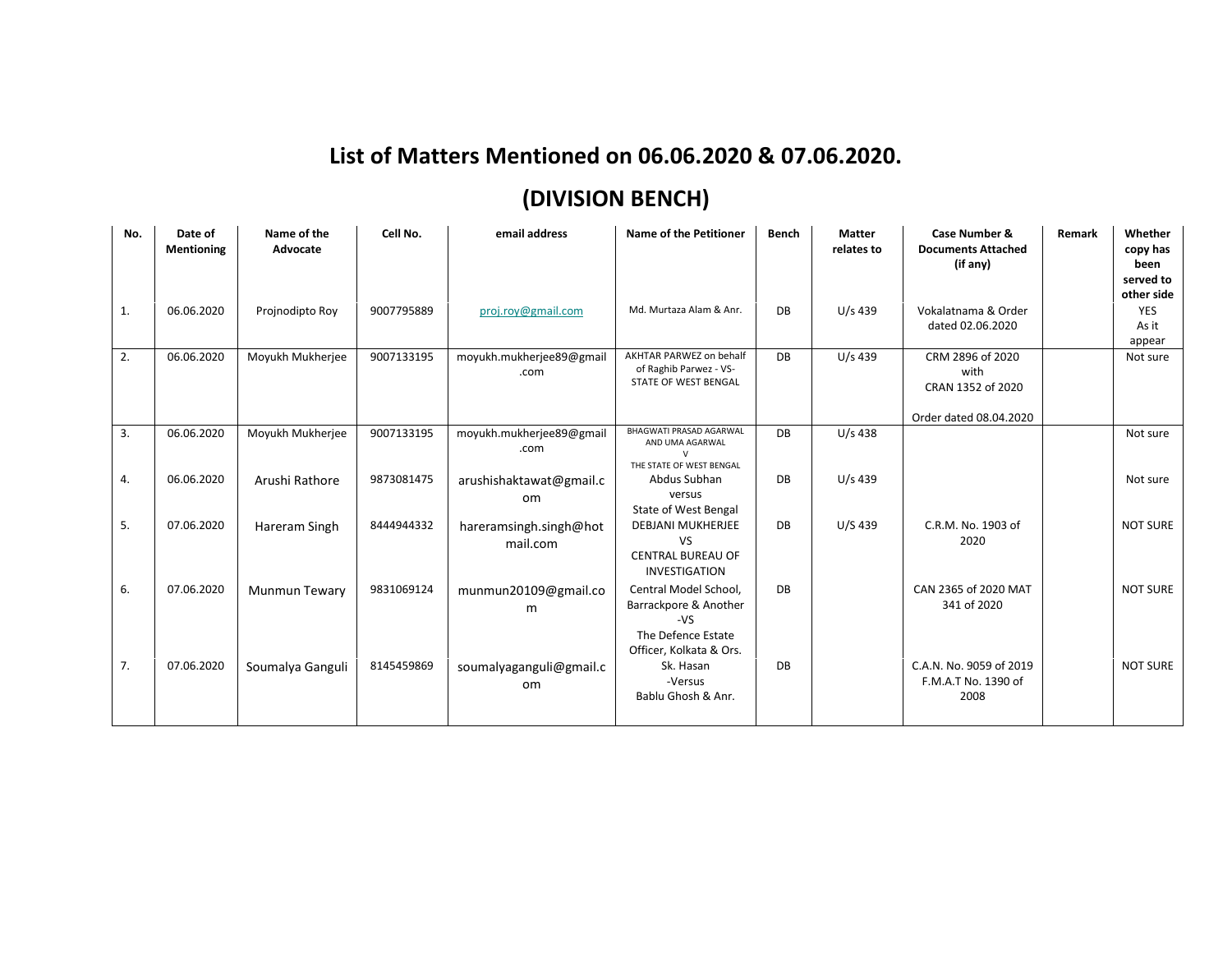## **List of Matters Mentioned on 06.06.2020 & 07.06.2020.**

## **(DIVISION BENCH)**

| No. | Date of<br>Mentioning | Name of the<br>Advocate | Cell No.   | email address                            | Name of the Petitioner                                                                                   | <b>Bench</b> | <b>Matter</b><br>relates to | Case Number &<br><b>Documents Attached</b><br>(if any)                  | Remark | Whether<br>copy has<br>been<br>served to<br>other side |
|-----|-----------------------|-------------------------|------------|------------------------------------------|----------------------------------------------------------------------------------------------------------|--------------|-----------------------------|-------------------------------------------------------------------------|--------|--------------------------------------------------------|
| 1.  | 06.06.2020            | Projnodipto Roy         | 9007795889 | proj.roy@gmail.com                       | Md. Murtaza Alam & Anr.                                                                                  | DB           | $U/s$ 439                   | Vokalatnama & Order<br>dated 02.06.2020                                 |        | YES<br>As it<br>appear                                 |
| 2.  | 06.06.2020            | Moyukh Mukherjee        | 9007133195 | moyukh.mukherjee89@gmail<br>.com         | AKHTAR PARWEZ on behalf<br>of Raghib Parwez - VS-<br>STATE OF WEST BENGAL                                | DB           | $U/s$ 439                   | CRM 2896 of 2020<br>with<br>CRAN 1352 of 2020<br>Order dated 08.04.2020 |        | Not sure                                               |
| 3.  | 06.06.2020            | Moyukh Mukherjee        | 9007133195 | moyukh.mukherjee89@gmail<br>.com         | <b>BHAGWATI PRASAD AGARWAL</b><br>AND UMA AGARWAL<br>THE STATE OF WEST BENGAL                            | DB           | $U/s$ 438                   |                                                                         |        | Not sure                                               |
| 4.  | 06.06.2020            | Arushi Rathore          | 9873081475 | arushishaktawat@gmail.c<br>om            | Abdus Subhan<br>versus<br>State of West Bengal                                                           | DB           | $U/s$ 439                   |                                                                         |        | Not sure                                               |
| 5.  | 07.06.2020            | Hareram Singh           | 8444944332 | hareramsingh.singh@hot<br>mail.com       | <b>DEBJANI MUKHERJEE</b><br><b>VS</b><br><b>CENTRAL BUREAU OF</b><br><b>INVESTIGATION</b>                | DB           | U/S 439                     | C.R.M. No. 1903 of<br>2020                                              |        | <b>NOT SURE</b>                                        |
| 6.  | 07.06.2020            | <b>Munmun Tewary</b>    | 9831069124 | munmun20109@gmail.co<br>m                | Central Model School,<br>Barrackpore & Another<br>$-VS$<br>The Defence Estate<br>Officer, Kolkata & Ors. | DB           |                             | CAN 2365 of 2020 MAT<br>341 of 2020                                     |        | <b>NOT SURE</b>                                        |
| 7.  | 07.06.2020            | Soumalya Ganguli        | 8145459869 | soumalyaganguli@gmail.c<br><sub>om</sub> | Sk. Hasan<br>-Versus<br>Bablu Ghosh & Anr.                                                               | DB           |                             | C.A.N. No. 9059 of 2019<br>F.M.A.T No. 1390 of<br>2008                  |        | <b>NOT SURE</b>                                        |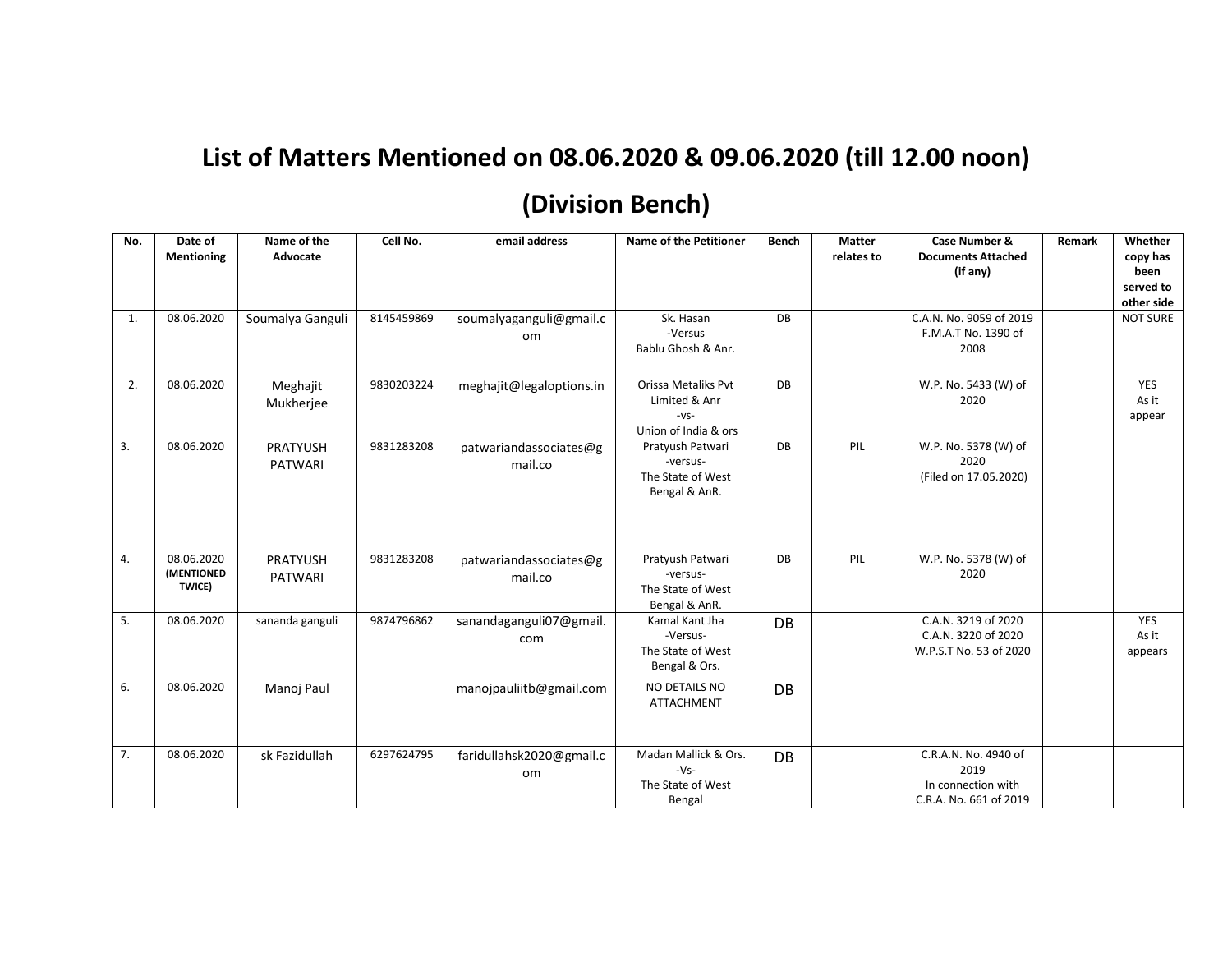## **List of Matters Mentioned on 08.06.2020 & 09.06.2020 (till 12.00 noon)**

## **(Division Bench)**

| No. | Date of<br>Mentioning              | Name of the<br>Advocate           | Cell No.   | email address                     | <b>Name of the Petitioner</b>                                          | Bench | <b>Matter</b><br>relates to | Case Number &<br><b>Documents Attached</b><br>(if any)                       | Remark | Whether<br>copy has<br>been<br>served to<br>other side |
|-----|------------------------------------|-----------------------------------|------------|-----------------------------------|------------------------------------------------------------------------|-------|-----------------------------|------------------------------------------------------------------------------|--------|--------------------------------------------------------|
| 1.  | 08.06.2020                         | Soumalya Ganguli                  | 8145459869 | soumalyaganguli@gmail.c<br>om     | Sk. Hasan<br>-Versus<br>Bablu Ghosh & Anr.                             | DB    |                             | C.A.N. No. 9059 of 2019<br>F.M.A.T No. 1390 of<br>2008                       |        | <b>NOT SURE</b>                                        |
| 2.  | 08.06.2020                         | Meghajit<br>Mukherjee             | 9830203224 | meghajit@legaloptions.in          | Orissa Metaliks Pvt<br>Limited & Anr<br>$-VS-$<br>Union of India & ors | DB    |                             | W.P. No. 5433 (W) of<br>2020                                                 |        | YES<br>As it<br>appear                                 |
| 3.  | 08.06.2020                         | <b>PRATYUSH</b><br><b>PATWARI</b> | 9831283208 | patwariandassociates@g<br>mail.co | Pratyush Patwari<br>-versus-<br>The State of West<br>Bengal & AnR.     | DB    | PIL                         | W.P. No. 5378 (W) of<br>2020<br>(Filed on 17.05.2020)                        |        |                                                        |
| 4.  | 08.06.2020<br>(MENTIONED<br>TWICE) | PRATYUSH<br><b>PATWARI</b>        | 9831283208 | patwariandassociates@g<br>mail.co | Pratyush Patwari<br>-versus-<br>The State of West<br>Bengal & AnR.     | DB    | PIL                         | W.P. No. 5378 (W) of<br>2020                                                 |        |                                                        |
| 5.  | 08.06.2020                         | sananda ganguli                   | 9874796862 | sanandaganguli07@gmail.<br>com    | Kamal Kant Jha<br>-Versus-<br>The State of West<br>Bengal & Ors.       | DB    |                             | C.A.N. 3219 of 2020<br>C.A.N. 3220 of 2020<br>W.P.S.T No. 53 of 2020         |        | <b>YES</b><br>As it<br>appears                         |
| 6.  | 08.06.2020                         | Manoj Paul                        |            | manojpauliitb@gmail.com           | NO DETAILS NO<br><b>ATTACHMENT</b>                                     | DB    |                             |                                                                              |        |                                                        |
| 7.  | 08.06.2020                         | sk Fazidullah                     | 6297624795 | faridullahsk2020@gmail.c<br>om    | Madan Mallick & Ors.<br>$-Vs-$<br>The State of West<br>Bengal          | DB    |                             | C.R.A.N. No. 4940 of<br>2019<br>In connection with<br>C.R.A. No. 661 of 2019 |        |                                                        |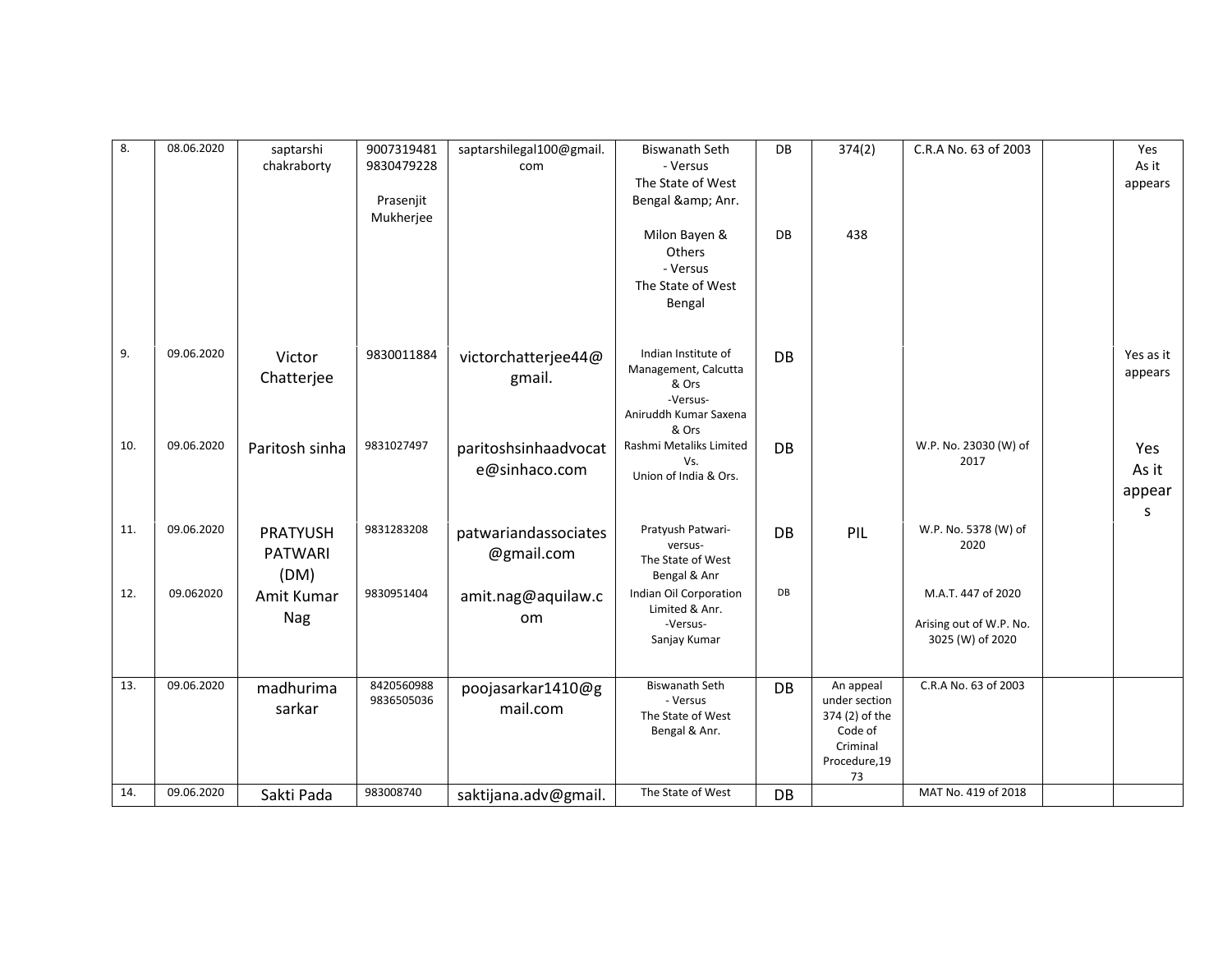| 8.  | 08.06.2020 | saptarshi<br>chakraborty                  | 9007319481<br>9830479228<br>Prasenjit<br>Mukherjee | saptarshilegal100@gmail.<br>com       | <b>Biswanath Seth</b><br>- Versus<br>The State of West<br>Bengal & Anr.                            | DB        | 374(2)                                                                                     | C.R.A No. 63 of 2003                                              | Yes<br>As it<br>appears     |
|-----|------------|-------------------------------------------|----------------------------------------------------|---------------------------------------|----------------------------------------------------------------------------------------------------|-----------|--------------------------------------------------------------------------------------------|-------------------------------------------------------------------|-----------------------------|
|     |            |                                           |                                                    |                                       | Milon Bayen &<br>Others<br>- Versus<br>The State of West<br>Bengal                                 | DB        | 438                                                                                        |                                                                   |                             |
| 9.  | 09.06.2020 | Victor<br>Chatterjee                      | 9830011884                                         | victorchatterjee44@<br>gmail.         | Indian Institute of<br>Management, Calcutta<br>& Ors<br>-Versus-<br>Aniruddh Kumar Saxena<br>& Ors | DB        |                                                                                            |                                                                   | Yes as it<br>appears        |
| 10. | 09.06.2020 | Paritosh sinha                            | 9831027497                                         | paritoshsinhaadvocat<br>e@sinhaco.com | Rashmi Metaliks Limited<br>Vs.<br>Union of India & Ors.                                            | <b>DB</b> |                                                                                            | W.P. No. 23030 (W) of<br>2017                                     | Yes<br>As it<br>appear<br>S |
| 11. | 09.06.2020 | <b>PRATYUSH</b><br><b>PATWARI</b><br>(DM) | 9831283208                                         | patwariandassociates<br>@gmail.com    | Pratyush Patwari-<br>versus-<br>The State of West<br>Bengal & Anr                                  | DB        | PIL                                                                                        | W.P. No. 5378 (W) of<br>2020                                      |                             |
| 12. | 09.062020  | Amit Kumar<br>Nag                         | 9830951404                                         | amit.nag@aquilaw.c<br>om              | Indian Oil Corporation<br>Limited & Anr.<br>-Versus-<br>Sanjay Kumar                               | DB        |                                                                                            | M.A.T. 447 of 2020<br>Arising out of W.P. No.<br>3025 (W) of 2020 |                             |
| 13. | 09.06.2020 | madhurima<br>sarkar                       | 8420560988<br>9836505036                           | poojasarkar1410@g<br>mail.com         | <b>Biswanath Seth</b><br>- Versus<br>The State of West<br>Bengal & Anr.                            | DB        | An appeal<br>under section<br>374 (2) of the<br>Code of<br>Criminal<br>Procedure, 19<br>73 | C.R.A No. 63 of 2003                                              |                             |
| 14. | 09.06.2020 | Sakti Pada                                | 983008740                                          | saktijana.adv@gmail.                  | The State of West                                                                                  | DB        |                                                                                            | MAT No. 419 of 2018                                               |                             |